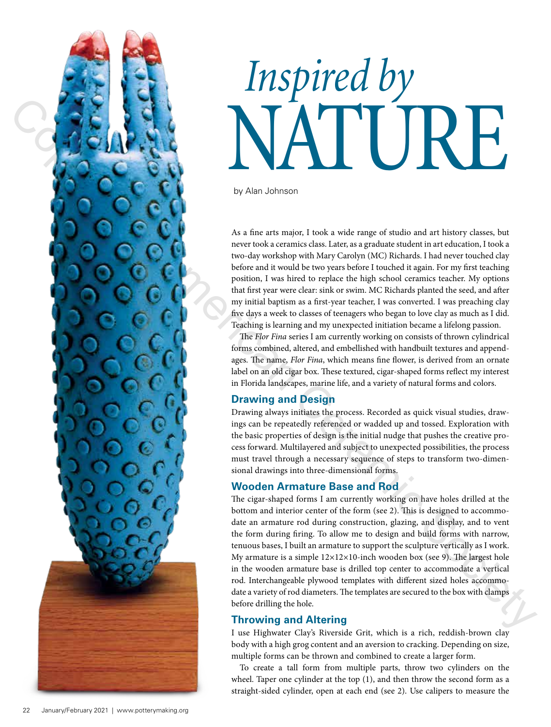

# *Inspired by* NATURE

by Alan Johnson

As a fine arts major, I took a wide range of studio and art history classes, but never took a ceramics class. Later, as a graduate student in art education, I took a two-day workshop with Mary Carolyn (MC) Richards. I had never touched clay before and it would be two years before I touched it again. For my first teaching position, I was hired to replace the high school ceramics teacher. My options that first year were clear: sink or swim. MC Richards planted the seed, and after my initial baptism as a first-year teacher, I was converted. I was preaching clay five days a week to classes of teenagers who began to love clay as much as I did. Teaching is learning and my unexpected initiation became a lifelong passion.

The *Flor Fina* series I am currently working on consists of thrown cylindrical forms combined, altered, and embellished with handbuilt textures and appendages. The name, *Flor Fina*, which means fine flower, is derived from an ornate label on an old cigar box. These textured, cigar-shaped forms reflect my interest in Florida landscapes, marine life, and a variety of natural forms and colors.

## **Drawing and Design**

Drawing always initiates the process. Recorded as quick visual studies, drawings can be repeatedly referenced or wadded up and tossed. Exploration with the basic properties of design is the initial nudge that pushes the creative process forward. Multilayered and subject to unexpected possibilities, the process must travel through a necessary sequence of steps to transform two-dimensional drawings into three-dimensional forms.

## **Wooden Armature Base and Rod**

The cigar-shaped forms I am currently working on have holes drilled at the bottom and interior center of the form (see 2). This is designed to accommodate an armature rod during construction, glazing, and display, and to vent the form during firing. To allow me to design and build forms with narrow, tenuous bases, I built an armature to support the sculpture vertically as I work. My armature is a simple  $12\times12\times10$ -inch wooden box (see 9). The largest hole in the wooden armature base is drilled top center to accommodate a vertical rod. Interchangeable plywood templates with different sized holes accommodate a variety of rod diameters. The templates are secured to the box with clamps before drilling the hole.

## **Throwing and Altering**

I use Highwater Clay's Riverside Grit, which is a rich, reddish-brown clay body with a high grog content and an aversion to cracking. Depending on size, multiple forms can be thrown and combined to create a larger form.

To create a tall form from multiple parts, throw two cylinders on the wheel. Taper one cylinder at the top (1), and then throw the second form as a straight-sided cylinder, open at each end (see 2). Use calipers to measure the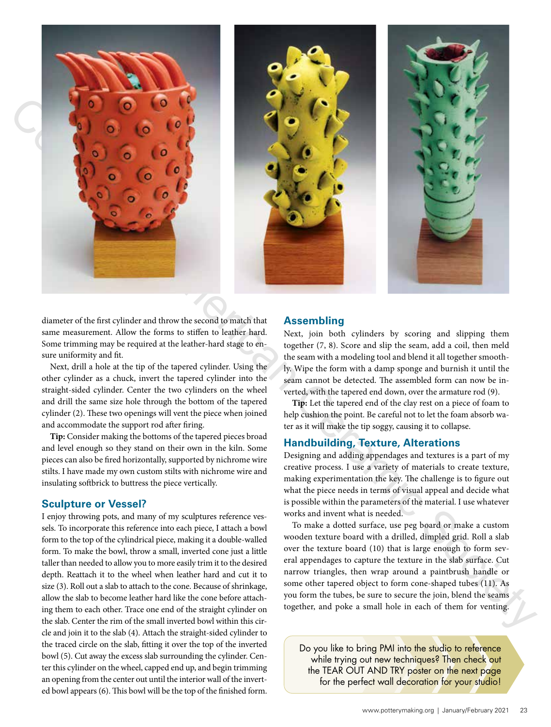

diameter of the first cylinder and throw the second to match that same measurement. Allow the forms to stiffen to leather hard. Some trimming may be required at the leather-hard stage to ensure uniformity and fit.

Next, drill a hole at the tip of the tapered cylinder. Using the other cylinder as a chuck, invert the tapered cylinder into the straight-sided cylinder. Center the two cylinders on the wheel and drill the same size hole through the bottom of the tapered cylinder (2). These two openings will vent the piece when joined and accommodate the support rod after firing.

**Tip:** Consider making the bottoms of the tapered pieces broad and level enough so they stand on their own in the kiln. Some pieces can also be fired horizontally, supported by nichrome wire stilts. I have made my own custom stilts with nichrome wire and insulating softbrick to buttress the piece vertically.

## **Sculpture or Vessel?**

I enjoy throwing pots, and many of my sculptures reference vessels. To incorporate this reference into each piece, I attach a bowl form to the top of the cylindrical piece, making it a double-walled form. To make the bowl, throw a small, inverted cone just a little taller than needed to allow you to more easily trim it to the desired depth. Reattach it to the wheel when leather hard and cut it to size (3). Roll out a slab to attach to the cone. Because of shrinkage, allow the slab to become leather hard like the cone before attaching them to each other. Trace one end of the straight cylinder on the slab. Center the rim of the small inverted bowl within this circle and join it to the slab (4). Attach the straight-sided cylinder to the traced circle on the slab, fitting it over the top of the inverted bowl (5). Cut away the excess slab surrounding the cylinder. Center this cylinder on the wheel, capped end up, and begin trimming an opening from the center out until the interior wall of the inverted bowl appears (6). This bowl will be the top of the finished form.

## **Assembling**

Next, join both cylinders by scoring and slipping them together (7, 8). Score and slip the seam, add a coil, then meld the seam with a modeling tool and blend it all together smoothly. Wipe the form with a damp sponge and burnish it until the seam cannot be detected. The assembled form can now be inverted, with the tapered end down, over the armature rod (9).

**Tip:** Let the tapered end of the clay rest on a piece of foam to help cushion the point. Be careful not to let the foam absorb water as it will make the tip soggy, causing it to collapse.

## **Handbuilding, Texture, Alterations**

Designing and adding appendages and textures is a part of my creative process. I use a variety of materials to create texture, making experimentation the key. The challenge is to figure out what the piece needs in terms of visual appeal and decide what is possible within the parameters of the material. I use whatever works and invent what is needed.

To make a dotted surface, use peg board or make a custom wooden texture board with a drilled, dimpled grid. Roll a slab over the texture board (10) that is large enough to form several appendages to capture the texture in the slab surface. Cut narrow triangles, then wrap around a paintbrush handle or some other tapered object to form cone-shaped tubes (11). As you form the tubes, be sure to secure the join, blend the seams together, and poke a small hole in each of them for venting.

Do you like to bring PMI into the studio to reference while trying out new techniques? Then check out the TEAR OUT AND TRY poster on the next page for the perfect wall decoration for your studio!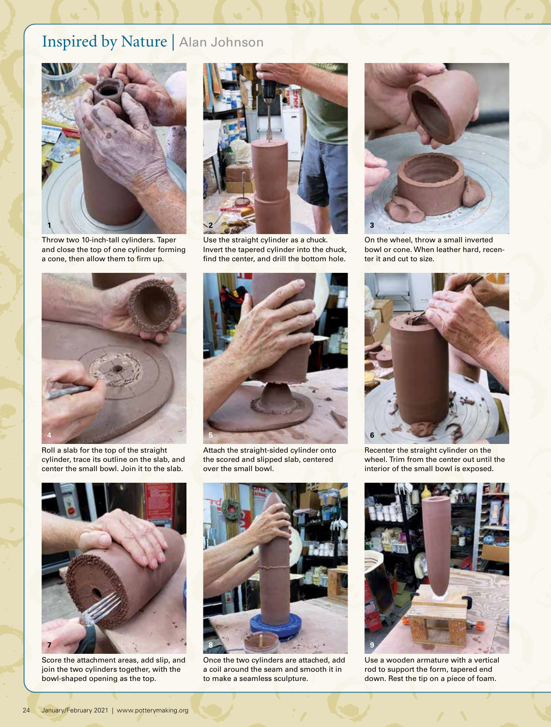# Inspired by Nature | Alan Johnson



Throw two 10-inch-tall cylinders. Taper and close the top of one cylinder forming a cone, then allow them to firm up.



Use the straight cylinder as a chuck. Invert the tapered cylinder into the chuck, find the center, and drill the bottom hole.



On the wheel, throw a small inverted bowl or cone. When leather hard, recenter it and cut to size.



Roll a slab for the top of the straight cylinder, trace its outline on the slab, and center the small bowl. Join it to the slab.



Attach the straight-sided cylinder onto the scored and slipped slab, centered over the small bowl.



Score the attachment areas, add slip, and join the two cylinders together, with the bowl-shaped opening as the top.



Once the two cylinders are attached, add a coil around the seam and smooth it in to make a seamless sculpture.



Recenter the straight cylinder on the wheel. Trim from the center out until the interior of the small bowl is exposed.



Use a wooden armature with a vertical rod to support the form, tapered end down. Rest the tip on a piece of foam.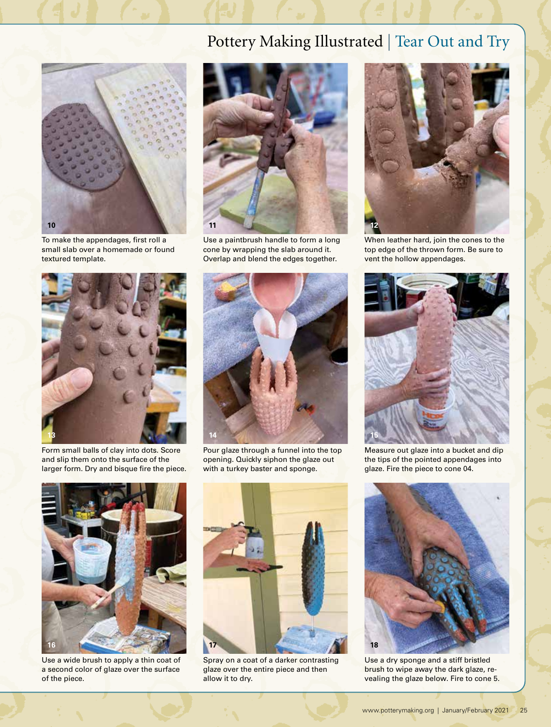# Pottery Making Illustrated | Tear Out and Try



To make the appendages, first roll a small slab over a homemade or found textured template.



Use a paintbrush handle to form a long cone by wrapping the slab around it. Overlap and blend the edges together.



Form small balls of clay into dots. Score and slip them onto the surface of the larger form. Dry and bisque fire the piece.



Pour glaze through a funnel into the top opening. Quickly siphon the glaze out with a turkey baster and sponge.



When leather hard, join the cones to the top edge of the thrown form. Be sure to vent the hollow appendages.



Measure out glaze into a bucket and dip the tips of the pointed appendages into glaze. Fire the piece to cone 04.



Use a wide brush to apply a thin coat of a second color of glaze over the surface of the piece.



Spray on a coat of a darker contrasting glaze over the entire piece and then allow it to dry.



Use a dry sponge and a stiff bristled brush to wipe away the dark glaze, revealing the glaze below. Fire to cone 5.